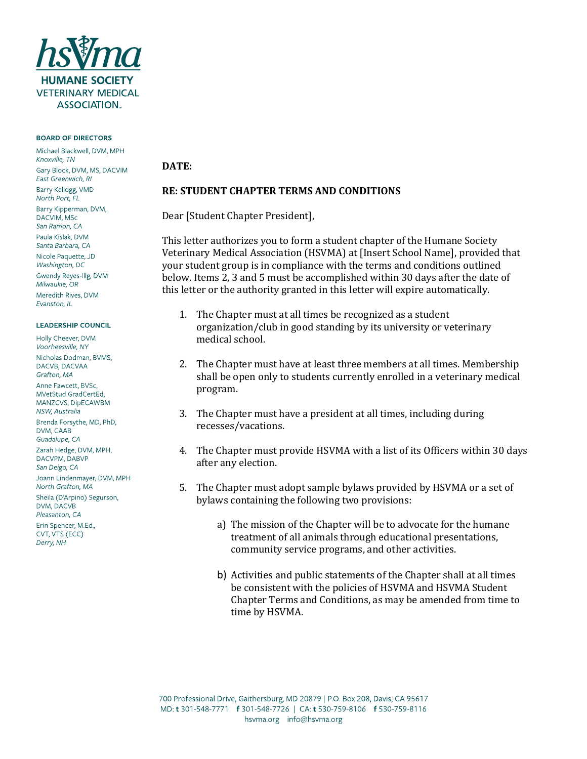

### BOARD OF DIRECTORS

Michael Blackwell, DVM, MPH Knoxville, TN Gary Block, DVM, MS, DACVIM East Greenwich, RI Barry Kellogg, VMD North Port, FL Barry Kipperman, DVM, DACVIM, MSc San Ramon, CA Paula Kislak, DVM Santa Barbara, CA Nicole Paguette, JD Washington, DC Gwendy Reyes-Illg, DVM Milwaukie, OR Meredith Rives, DVM Fyanston, II

#### **LEADERSHIP COUNCIL**

Holly Cheever, DVM Voorheesville, NY Nicholas Dodman, BVMS, DACVB, DACVAA Grafton, MA Anne Fawcett, BVSc. MVetStud GradCertEd, MANZCVS, DipECAWBM NSW, Australia Brenda Forsythe, MD, PhD, DVM, CAAB Guadalupe, CA Zarah Hedge, DVM, MPH, DACVPM, DABVP San Deigo, CA Joann Lindenmayer, DVM, MPH North Grafton, MA Sheila (D'Arpino) Segurson, DVM, DACVB Pleasanton, CA Erin Spencer, M.Ed., CVT, VTS (ECC) Derry, NH

# **DATE:**

### **RE: STUDENT CHAPTER TERMS AND CONDITIONS**

Dear [Student Chapter President],

This letter authorizes you to form a student chapter of the Humane Society Veterinary Medical Association (HSVMA) at [Insert School Name], provided that your student group is in compliance with the terms and conditions outlined below. Items 2, 3 and 5 must be accomplished within 30 days after the date of this letter or the authority granted in this letter will expire automatically.

- 1. The Chapter must at all times be recognized as a student organization/club in good standing by its university or veterinary medical school.
- 2. The Chapter must have at least three members at all times. Membership shall be open only to students currently enrolled in a veterinary medical program.
- 3. The Chapter must have a president at all times, including during recesses/vacations.
- 4. The Chapter must provide HSVMA with a list of its Officers within 30 days after any election.
- 5. The Chapter must adopt sample bylaws provided by HSVMA or a set of bylaws containing the following two provisions:
	- a) The mission of the Chapter will be to advocate for the humane treatment of all animals through educational presentations, community service programs, and other activities.
	- b) Activities and public statements of the Chapter shall at all times be consistent with the policies of HSVMA and HSVMA Student Chapter Terms and Conditions, as may be amended from time to time by HSVMA.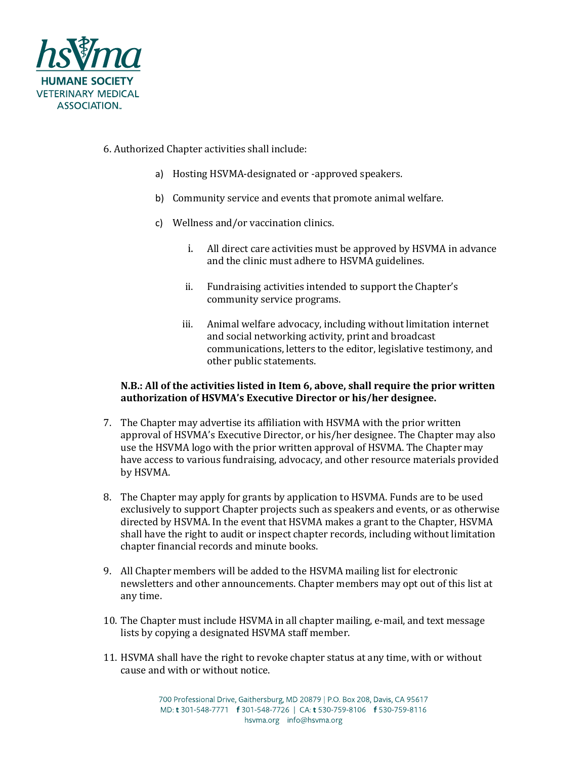

# 6. Authorized Chapter activities shall include:

- a) Hosting HSVMA-designated or -approved speakers.
- b) Community service and events that promote animal welfare.
- c) Wellness and/or vaccination clinics.
	- i. All direct care activities must be approved by HSVMA in advance and the clinic must adhere to HSVMA guidelines.
	- ii. Fundraising activities intended to support the Chapter's community service programs.
	- iii. Animal welfare advocacy, including without limitation internet and social networking activity, print and broadcast communications, letters to the editor, legislative testimony, and other public statements.

## **N.B.: All of the activities listed in Item 6, above, shall require the prior written authorization of HSVMA's Executive Director or his/her designee.**

- 7. The Chapter may advertise its affiliation with HSVMA with the prior written approval of HSVMA's Executive Director, or his/her designee. The Chapter may also use the HSVMA logo with the prior written approval of HSVMA. The Chapter may have access to various fundraising, advocacy, and other resource materials provided by HSVMA.
- 8. The Chapter may apply for grants by application to HSVMA. Funds are to be used exclusively to support Chapter projects such as speakers and events, or as otherwise directed by HSVMA. In the event that HSVMA makes a grant to the Chapter, HSVMA shall have the right to audit or inspect chapter records, including without limitation chapter financial records and minute books.
- 9. All Chapter members will be added to the HSVMA mailing list for electronic newsletters and other announcements. Chapter members may opt out of this list at any time.
- 10. The Chapter must include HSVMA in all chapter mailing, e-mail, and text message lists by copying a designated HSVMA staff member.
- 11. HSVMA shall have the right to revoke chapter status at any time, with or without cause and with or without notice.